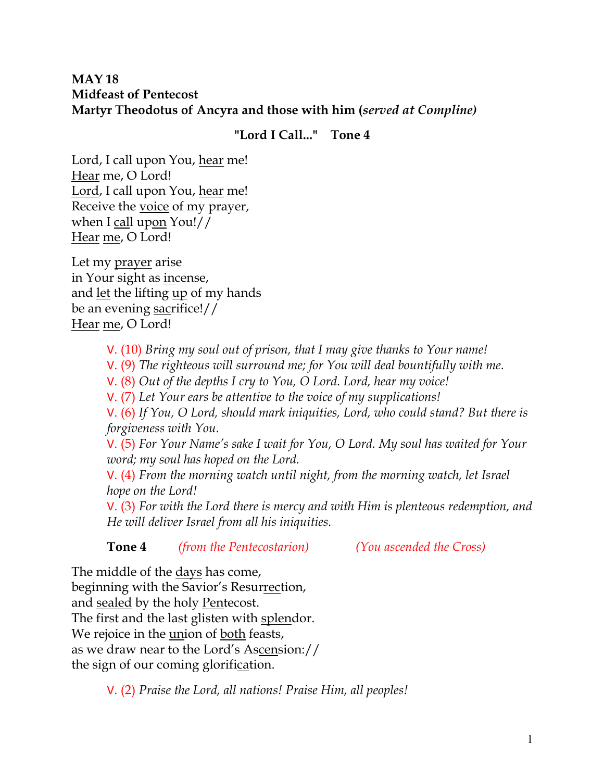## **MAY 18 Midfeast of Pentecost Martyr Theodotus of Ancyra and those with him (***served at Compline)*

## **"Lord I Call..." Tone 4**

Lord, I call upon You, hear me! Hear me, O Lord! Lord, I call upon You, hear me! Receive the voice of my prayer, when I call upon You!// Hear me, O Lord!

Let my prayer arise in Your sight as incense, and let the lifting up of my hands be an evening sacrifice!// Hear me, O Lord!

- V. (10) *Bring my soul out of prison, that I may give thanks to Your name!*
- V. (9) *The righteous will surround me; for You will deal bountifully with me.*
- V. (8) *Out of the depths I cry to You, O Lord. Lord, hear my voice!*
- V. (7) *Let Your ears be attentive to the voice of my supplications!*

V. (6) *If You, O Lord, should mark iniquities, Lord, who could stand? But there is forgiveness with You.* 

V. (5) *For Your Name's sake I wait for You, O Lord. My soul has waited for Your word; my soul has hoped on the Lord.* 

V. (4) *From the morning watch until night, from the morning watch, let Israel hope on the Lord!* 

V. (3) *For with the Lord there is mercy and with Him is plenteous redemption, and He will deliver Israel from all his iniquities.*

**Tone 4** *(from the Pentecostarion) (You ascended the Cross)*

The middle of the days has come, beginning with the Savior's Resurrection, and sealed by the holy Pentecost. The first and the last glisten with splendor. We rejoice in the <u>union</u> of <u>both</u> feasts, as we draw near to the Lord's Ascension:// the sign of our coming glorification.

V. (2) *Praise the Lord, all nations! Praise Him, all peoples!*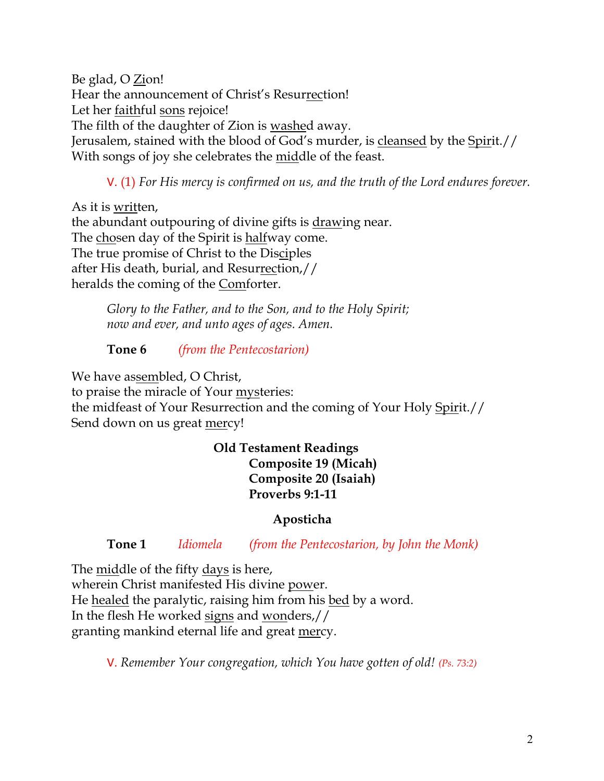Be glad, O Zion! Hear the announcement of Christ's Resurrection! Let her faithful sons rejoice! The filth of the daughter of Zion is washed away. Jerusalem, stained with the blood of God's murder, is cleansed by the Spirit.// With songs of joy she celebrates the middle of the feast.

V. (1) *For His mercy is confirmed on us, and the truth of the Lord endures forever.* 

As it is written, the abundant outpouring of divine gifts is drawing near. The chosen day of the Spirit is halfway come. The true promise of Christ to the Disciples after His death, burial, and Resurrection,// heralds the coming of the Comforter.

> *Glory to the Father, and to the Son, and to the Holy Spirit; now and ever, and unto ages of ages. Amen.*

**Tone 6** *(from the Pentecostarion)*

We have assembled, O Christ, to praise the miracle of Your mysteries: the midfeast of Your Resurrection and the coming of Your Holy Spirit.// Send down on us great mercy!

> **Old Testament Readings Composite 19 (Micah) Composite 20 (Isaiah) Proverbs 9:1-11**

## **Aposticha**

**Tone 1** *Idiomela (from the Pentecostarion, by John the Monk)*

The middle of the fifty days is here, wherein Christ manifested His divine power. He healed the paralytic, raising him from his bed by a word. In the flesh He worked signs and wonders,// granting mankind eternal life and great mercy.

V. *Remember Your congregation, which You have gotten of old! (Ps. 73:2)*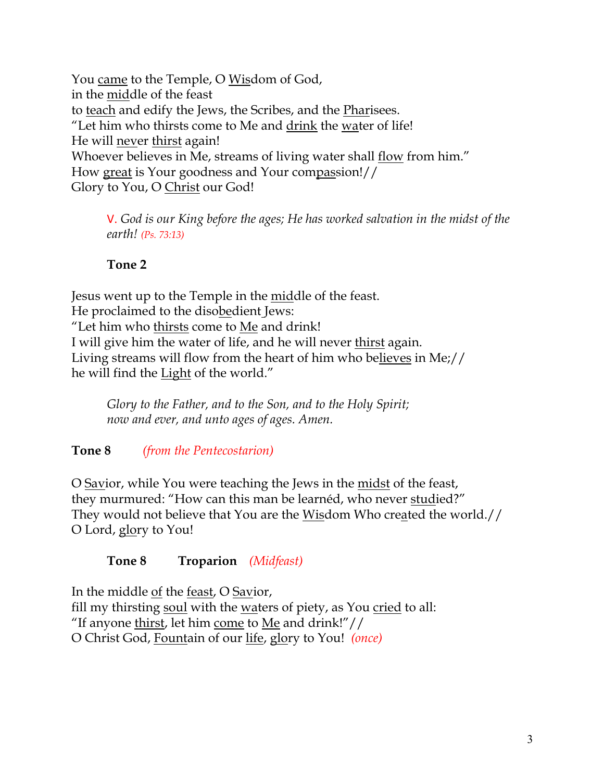You came to the Temple, O Wisdom of God, in the middle of the feast to teach and edify the Jews, the Scribes, and the Pharisees. "Let him who thirsts come to Me and drink the water of life! He will never thirst again! Whoever believes in Me, streams of living water shall flow from him." How great is Your goodness and Your compassion!// Glory to You, O Christ our God!

V. *God is our King before the ages; He has worked salvation in the midst of the earth! (Ps. 73:13)*

## **Tone 2**

Jesus went up to the Temple in the <u>mid</u>dle of the feast. He proclaimed to the disobedient Jews: "Let him who thirsts come to Me and drink! I will give him the water of life, and he will never thirst again. Living streams will flow from the heart of him who believes in Me;// he will find the Light of the world."

*Glory to the Father, and to the Son, and to the Holy Spirit; now and ever, and unto ages of ages. Amen.*

**Tone 8** *(from the Pentecostarion)*

O Savior, while You were teaching the Jews in the midst of the feast, they murmured: "How can this man be learnéd, who never studied?" They would not believe that You are the Wisdom Who created the world.// O Lord, glory to You!

## **Tone 8 Troparion** *(Midfeast)*

In the middle of the feast, O Savior, fill my thirsting soul with the waters of piety, as You cried to all: "If anyone thirst, let him come to Me and drink!" $\frac{1}{\sqrt{2}}$ O Christ God, Fountain of our life, glory to You! *(once)*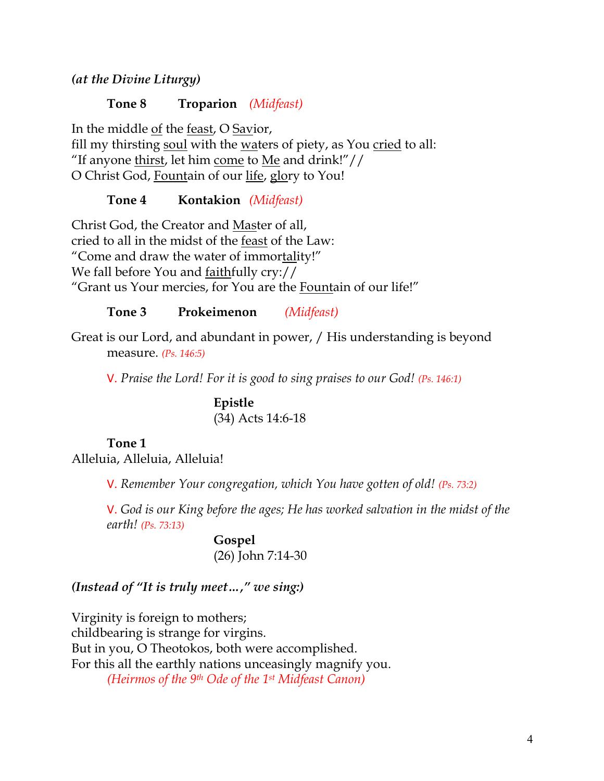*(at the Divine Liturgy)*

**Tone 8 Troparion** *(Midfeast)*

In the middle of the feast, O Savior, fill my thirsting soul with the waters of piety, as You cried to all: "If anyone thirst, let him come to Me and drink!"// O Christ God, Fountain of our life, glory to You!

**Tone 4 Kontakion** *(Midfeast)*

Christ God, the Creator and Master of all, cried to all in the midst of the feast of the Law: "Come and draw the water of immortality!" We fall before You and faithfully cry:// "Grant us Your mercies, for You are the Fountain of our life!"

**Tone 3 Prokeimenon** *(Midfeast)*

Great is our Lord, and abundant in power, / His understanding is beyond measure. *(Ps. 146:5)*

V. *Praise the Lord! For it is good to sing praises to our God! (Ps. 146:1)*

**Epistle** (34) Acts 14:6-18

# **Tone 1**

Alleluia, Alleluia, Alleluia!

V. *Remember Your congregation, which You have gotten of old! (Ps. 73:2)*

V. *God is our King before the ages; He has worked salvation in the midst of the earth! (Ps. 73:13)*

> **Gospel** (26) John 7:14-30

*(Instead of "It is truly meet…," we sing:)*

Virginity is foreign to mothers; childbearing is strange for virgins. But in you, O Theotokos, both were accomplished. For this all the earthly nations unceasingly magnify you. *(Heirmos of the 9th Ode of the 1st Midfeast Canon)*